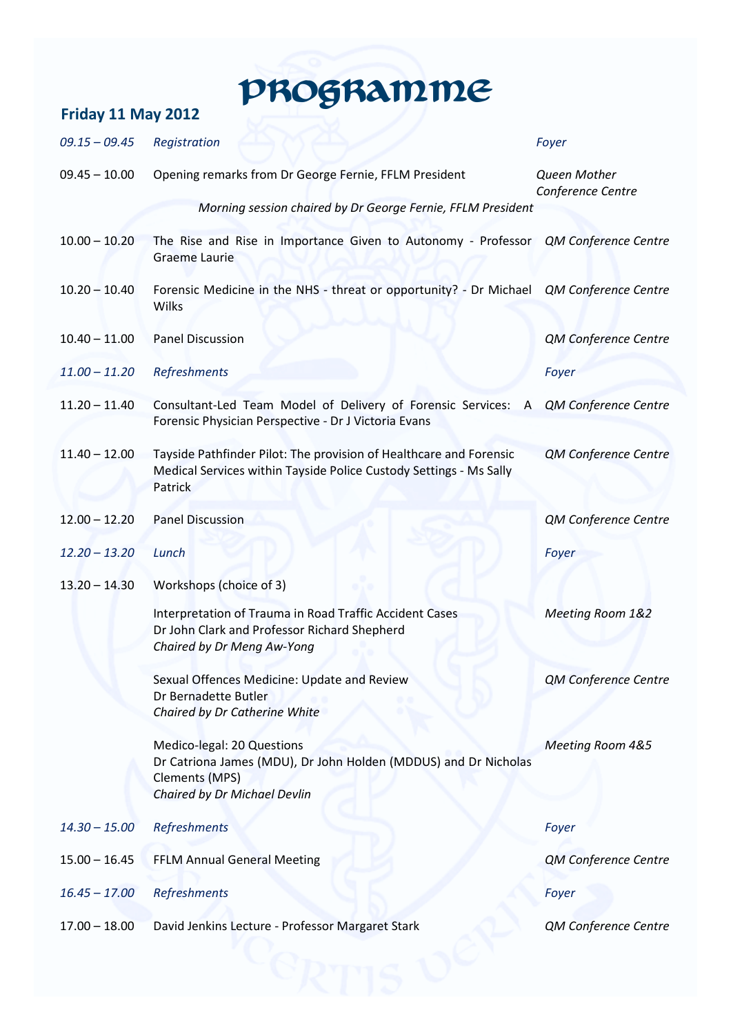## Friday 11 May 2012 **PROGRAMME**

## 09.15 – 09.45 Registration Foyer 09.45 – 10.00 Opening remarks from Dr George Fernie, FFLM President Queen Mother Conference Centre Morning session chaired by Dr George Fernie, FFLM President 10.00 - 10.20 The Rise and Rise in Importance Given to Autonomy - Professor QM Conference Centre Graeme Laurie 10.20 – 10.40 Forensic Medicine in the NHS - threat or opportunity? - Dr Michael Wilks QM Conference Centre 10.40 – 11.00 Panel Discussion QM Conference Centre 11.00 – 11.20 Refreshments Foyer 11.20 – 11.40 Consultant-Led Team Model of Delivery of Forensic Services: A Forensic Physician Perspective - Dr J Victoria Evans QM Conference Centre 11.40 – 12.00 Tayside Pathfinder Pilot: The provision of Healthcare and Forensic Medical Services within Tayside Police Custody Settings - Ms Sally **Patrick** QM Conference Centre 12.00 – 12.20 Panel Discussion QM Conference Centre 12.20 – 13.20 Lunch Foyer 13.20 – 14.30 Workshops (choice of 3) Interpretation of Trauma in Road Traffic Accident Cases Dr John Clark and Professor Richard Shepherd Chaired by Dr Meng Aw-Yong Meeting Room 1&2 Sexual Offences Medicine: Update and Review Dr Bernadette Butler Chaired by Dr Catherine White QM Conference Centre Medico-legal: 20 Questions Dr Catriona James (MDU), Dr John Holden (MDDUS) and Dr Nicholas Clements (MPS) Chaired by Dr Michael Devlin Meeting Room 4&5 14.30 – 15.00 Refreshments Foyer 15.00 – 16.45 FFLM Annual General Meeting QM Conference Centre 16.45 – 17.00 Refreshments Foyer 17.00 – 18.00 David Jenkins Lecture - Professor Margaret Stark QM Conference Centre